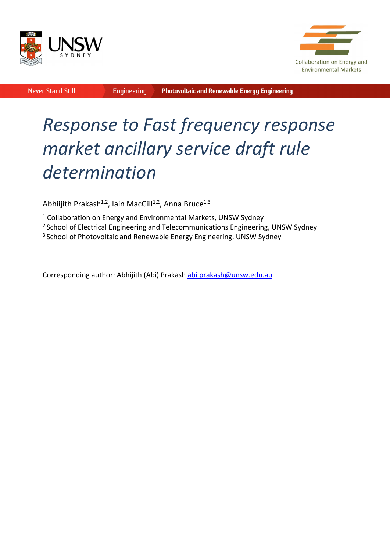



**Never Stand Still** 

**Engineering** 

# *Response to Fast frequency response market ancillary service draft rule determination*

Abhiijith Prakash<sup>1,2</sup>, Iain MacGill<sup>1,2</sup>, Anna Bruce<sup>1,3</sup>

<sup>1</sup> Collaboration on Energy and Environmental Markets, UNSW Sydney

<sup>2</sup> School of Electrical Engineering and Telecommunications Engineering, UNSW Sydney

<sup>3</sup> School of Photovoltaic and Renewable Energy Engineering, UNSW Sydney

Corresponding author: Abhijith (Abi) Prakash abi.prakash@unsw.edu.au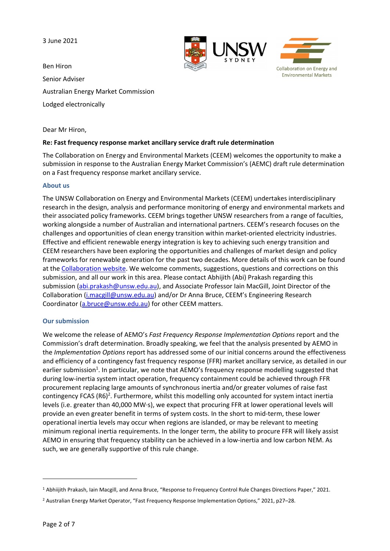3 June 2021





Ben Hiron Senior Adviser Australian Energy Market Commission Lodged electronically

Dear Mr Hiron,

#### **Re: Fast frequency response market ancillary service draft rule determination**

The Collaboration on Energy and Environmental Markets (CEEM) welcomes the opportunity to make a submission in response to the Australian Energy Market Commission's (AEMC) draft rule determination on a Fast frequency response market ancillary service.

#### **About us**

The UNSW Collaboration on Energy and Environmental Markets (CEEM) undertakes interdisciplinary research in the design, analysis and performance monitoring of energy and environmental markets and their associated policy frameworks. CEEM brings together UNSW researchers from a range of faculties, working alongside a number of Australian and international partners. CEEM's research focuses on the challenges and opportunities of clean energy transition within market-oriented electricity industries. Effective and efficient renewable energy integration is key to achieving such energy transition and CEEM researchers have been exploring the opportunities and challenges of market design and policy frameworks for renewable generation for the past two decades. More details of this work can be found at the Collaboration website. We welcome comments, suggestions, questions and corrections on this submission, and all our work in this area. Please contact Abhijith (Abi) Prakash regarding this submission (abi.prakash@unsw.edu.au), and Associate Professor Iain MacGill, Joint Director of the Collaboration (i.macgill@unsw.edu.au) and/or Dr Anna Bruce, CEEM's Engineering Research Coordinator (a.bruce@unsw.edu.au) for other CEEM matters.

#### **Our submission**

We welcome the release of AEMO's *Fast Frequency Response Implementation Options* report and the Commission's draft determination. Broadly speaking, we feel that the analysis presented by AEMO in the *Implementation Options* report has addressed some of our initial concerns around the effectiveness and efficiency of a contingency fast frequency response (FFR) market ancillary service, as detailed in our earlier submission<sup>1</sup>. In particular, we note that AEMO's frequency response modelling suggested that during low‐inertia system intact operation, frequency containment could be achieved through FFR procurement replacing large amounts of synchronous inertia and/or greater volumes of raise fast contingency FCAS (R6)<sup>2</sup>. Furthermore, whilst this modelling only accounted for system intact inertia levels (i.e. greater than 40,000 MW∙s), we expect that procuring FFR at lower operational levels will provide an even greater benefit in terms of system costs. In the short to mid‐term, these lower operational inertia levels may occur when regions are islanded, or may be relevant to meeting minimum regional inertia requirements. In the longer term, the ability to procure FFR will likely assist AEMO in ensuring that frequency stability can be achieved in a low-inertia and low carbon NEM. As such, we are generally supportive of this rule change.

<sup>1</sup> Abhiijith Prakash, Iain Macgill, and Anna Bruce, "Response to Frequency Control Rule Changes Directions Paper," 2021.

<sup>2</sup> Australian Energy Market Operator, "Fast Frequency Response Implementation Options," 2021, p27–28.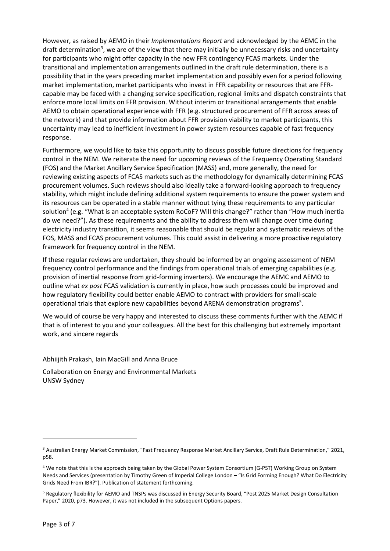However, as raised by AEMO in their *Implementations Report* and acknowledged by the AEMC in the draft determination<sup>3</sup>, we are of the view that there may initially be unnecessary risks and uncertainty for participants who might offer capacity in the new FFR contingency FCAS markets. Under the transitional and implementation arrangements outlined in the draft rule determination, there is a possibility that in the years preceding market implementation and possibly even for a period following market implementation, market participants who invest in FFR capability or resources that are FFR‐ capable may be faced with a changing service specification, regional limits and dispatch constraints that enforce more local limits on FFR provision. Without interim or transitional arrangements that enable AEMO to obtain operational experience with FFR (e.g. structured procurement of FFR across areas of the network) and that provide information about FFR provision viability to market participants, this uncertainty may lead to inefficient investment in power system resources capable of fast frequency response.

Furthermore, we would like to take this opportunity to discuss possible future directions for frequency control in the NEM. We reiterate the need for upcoming reviews of the Frequency Operating Standard (FOS) and the Market Ancillary Service Specification (MASS) and, more generally, the need for reviewing existing aspects of FCAS markets such as the methodology for dynamically determining FCAS procurement volumes. Such reviews should also ideally take a forward‐looking approach to frequency stability, which might include defining additional system requirements to ensure the power system and its resources can be operated in a stable manner without tying these requirements to any particular solution<sup>4</sup> (e.g. "What is an acceptable system RoCoF? Will this change?" rather than "How much inertia do we need?"). As these requirements and the ability to address them will change over time during electricity industry transition, it seems reasonable that should be regular and systematic reviews of the FOS, MASS and FCAS procurement volumes. This could assist in delivering a more proactive regulatory framework for frequency control in the NEM.

If these regular reviews are undertaken, they should be informed by an ongoing assessment of NEM frequency control performance and the findings from operational trials of emerging capabilities (e.g. provision of inertial response from grid‐forming inverters). We encourage the AEMC and AEMO to outline what *ex post* FCAS validation is currently in place, how such processes could be improved and how regulatory flexibility could better enable AEMO to contract with providers for small‐scale operational trials that explore new capabilities beyond ARENA demonstration programs<sup>5</sup>.

We would of course be very happy and interested to discuss these comments further with the AEMC if that is of interest to you and your colleagues. All the best for this challenging but extremely important work, and sincere regards

Abhiijith Prakash, Iain MacGill and Anna Bruce

Collaboration on Energy and Environmental Markets UNSW Sydney

<sup>&</sup>lt;sup>3</sup> Australian Energy Market Commission, "Fast Frequency Response Market Ancillary Service, Draft Rule Determination," 2021, p58.

<sup>4</sup> We note that this is the approach being taken by the Global Power System Consortium (G‐PST) Working Group on System Needs and Services (presentation by Timothy Green of Imperial College London – "Is Grid Forming Enough? What Do Electricity Grids Need From IBR?"). Publication of statement forthcoming.

<sup>&</sup>lt;sup>5</sup> Regulatory flexibility for AEMO and TNSPs was discussed in Energy Security Board, "Post 2025 Market Design Consultation Paper," 2020, p73. However, it was not included in the subsequent Options papers.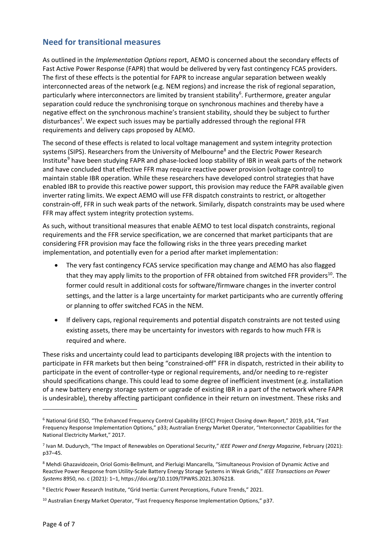### **Need for transitional measures**

As outlined in the *Implementation Options* report, AEMO is concerned about the secondary effects of Fast Active Power Response (FAPR) that would be delivered by very fast contingency FCAS providers. The first of these effects is the potential for FAPR to increase angular separation between weakly interconnected areas of the network (e.g. NEM regions) and increase the risk of regional separation, particularly where interconnectors are limited by transient stability<sup>6</sup>. Furthermore, greater angular separation could reduce the synchronising torque on synchronous machines and thereby have a negative effect on the synchronous machine's transient stability, should they be subject to further disturbances<sup>7</sup>. We expect such issues may be partially addressed through the regional FFR requirements and delivery caps proposed by AEMO.

The second of these effects is related to local voltage management and system integrity protection systems (SIPS). Researchers from the University of Melbourne<sup>8</sup> and the Electric Power Research Institute<sup>9</sup> have been studying FAPR and phase-locked loop stability of IBR in weak parts of the network and have concluded that effective FFR may require reactive power provision (voltage control) to maintain stable IBR operation. While these researchers have developed control strategies that have enabled IBR to provide this reactive power support, this provision may reduce the FAPR available given inverter rating limits. We expect AEMO will use FFR dispatch constraints to restrict, or altogether constrain‐off, FFR in such weak parts of the network. Similarly, dispatch constraints may be used where FFR may affect system integrity protection systems.

As such, without transitional measures that enable AEMO to test local dispatch constraints, regional requirements and the FFR service specification, we are concerned that market participants that are considering FFR provision may face the following risks in the three years preceding market implementation, and potentially even for a period after market implementation:

- The very fast contingency FCAS service specification may change and AEMO has also flagged that they may apply limits to the proportion of FFR obtained from switched FFR providers<sup>10</sup>. The former could result in additional costs for software/firmware changes in the inverter control settings, and the latter is a large uncertainty for market participants who are currently offering or planning to offer switched FCAS in the NEM.
- If delivery caps, regional requirements and potential dispatch constraints are not tested using existing assets, there may be uncertainty for investors with regards to how much FFR is required and where.

These risks and uncertainty could lead to participants developing IBR projects with the intention to participate in FFR markets but then being "constrained‐off" FFR in dispatch, restricted in their ability to participate in the event of controller-type or regional requirements, and/or needing to re-register should specifications change. This could lead to some degree of inefficient investment (e.g. installation of a new battery energy storage system or upgrade of existing IBR in a part of the network where FAPR is undesirable), thereby affecting participant confidence in their return on investment. These risks and

<sup>6</sup> National Grid ESO, "The Enhanced Frequency Control Capability (EFCC) Project Closing down Report," 2019, p14, "Fast Frequency Response Implementation Options," p33; Australian Energy Market Operator, "Interconnector Capabilities for the National Electricity Market," 2017.

<sup>7</sup> Ivan M. Dudurych, "The Impact of Renewables on Operational Security," *IEEE Power and Energy Magazine*, February (2021): p37–45.

<sup>8</sup> Mehdi Ghazavidozein, Oriol Gomis-Bellmunt, and Pierluigi Mancarella, "Simultaneous Provision of Dynamic Active and Reactive Power Response from Utility‐Scale Battery Energy Storage Systems in Weak Grids," *IEEE Transactions on Power Systems* 8950, no. c (2021): 1–1, https://doi.org/10.1109/TPWRS.2021.3076218.

<sup>&</sup>lt;sup>9</sup> Electric Power Research Institute, "Grid Inertia: Current Perceptions, Future Trends," 2021.

<sup>&</sup>lt;sup>10</sup> Australian Energy Market Operator, "Fast Frequency Response Implementation Options," p37.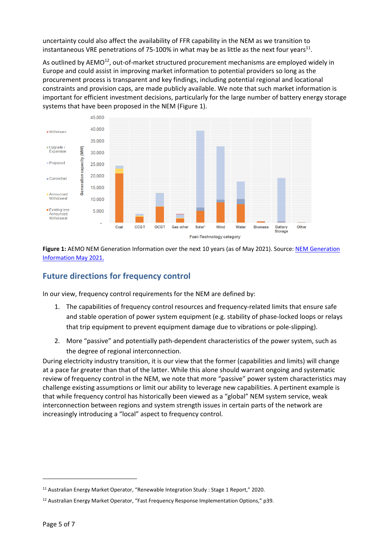uncertainty could also affect the availability of FFR capability in the NEM as we transition to instantaneous VRE penetrations of 75-100% in what may be as little as the next four years<sup>11</sup>.

As outlined by AEMO<sup>12</sup>, out-of-market structured procurement mechanisms are employed widely in Europe and could assist in improving market information to potential providers so long as the procurement process is transparent and key findings, including potential regional and locational constraints and provision caps, are made publicly available. We note that such market information is important for efficient investment decisions, particularly for the large number of battery energy storage systems that have been proposed in the NEM (Figure 1).



**Figure 1:** AEMO NEM Generation Information over the next 10 years (as of May 2021). Source: NEM Generation Information May 2021.

## **Future directions for frequency control**

In our view, frequency control requirements for the NEM are defined by:

- 1. The capabilities of frequency control resources and frequency-related limits that ensure safe and stable operation of power system equipment (e.g. stability of phase-locked loops or relays that trip equipment to prevent equipment damage due to vibrations or pole‐slipping).
- 2. More "passive" and potentially path-dependent characteristics of the power system, such as the degree of regional interconnection.

During electricity industry transition, it is our view that the former (capabilities and limits) will change at a pace far greater than that of the latter. While this alone should warrant ongoing and systematic review of frequency control in the NEM, we note that more "passive" power system characteristics may challenge existing assumptions or limit our ability to leverage new capabilities. A pertinent example is that while frequency control has historically been viewed as a "global" NEM system service, weak interconnection between regions and system strength issues in certain parts of the network are increasingly introducing a "local" aspect to frequency control.

<sup>&</sup>lt;sup>11</sup> Australian Energy Market Operator, "Renewable Integration Study : Stage 1 Report," 2020.

<sup>&</sup>lt;sup>12</sup> Australian Energy Market Operator, "Fast Frequency Response Implementation Options," p39.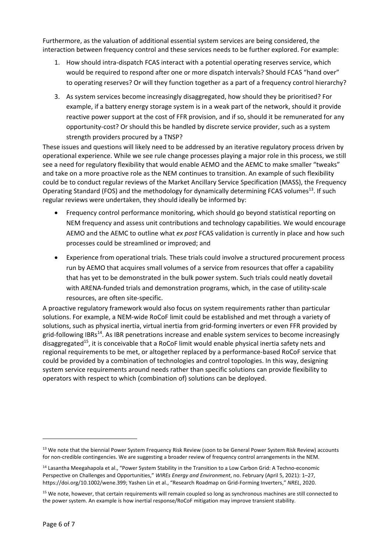Furthermore, as the valuation of additional essential system services are being considered, the interaction between frequency control and these services needs to be further explored. For example:

- 1. How should intra-dispatch FCAS interact with a potential operating reserves service, which would be required to respond after one or more dispatch intervals? Should FCAS "hand over" to operating reserves? Or will they function together as a part of a frequency control hierarchy?
- 3. As system services become increasingly disaggregated, how should they be prioritised? For example, if a battery energy storage system is in a weak part of the network, should it provide reactive power support at the cost of FFR provision, and if so, should it be remunerated for any opportunity‐cost? Or should this be handled by discrete service provider, such as a system strength providers procured by a TNSP?

These issues and questions will likely need to be addressed by an iterative regulatory process driven by operational experience. While we see rule change processes playing a major role in this process, we still see a need for regulatory flexibility that would enable AEMO and the AEMC to make smaller "tweaks" and take on a more proactive role as the NEM continues to transition. An example of such flexibility could be to conduct regular reviews of the Market Ancillary Service Specification (MASS), the Frequency Operating Standard (FOS) and the methodology for dynamically determining FCAS volumes<sup>13</sup>. If such regular reviews were undertaken, they should ideally be informed by:

- Frequency control performance monitoring, which should go beyond statistical reporting on NEM frequency and assess unit contributions and technology capabilities. We would encourage AEMO and the AEMC to outline what *ex post* FCAS validation is currently in place and how such processes could be streamlined or improved; and
- Experience from operational trials. These trials could involve a structured procurement process run by AEMO that acquires small volumes of a service from resources that offer a capability that has yet to be demonstrated in the bulk power system. Such trials could neatly dovetail with ARENA‐funded trials and demonstration programs, which, in the case of utility‐scale resources, are often site‐specific.

A proactive regulatory framework would also focus on system requirements rather than particular solutions. For example, a NEM‐wide RoCoF limit could be established and met through a variety of solutions, such as physical inertia, virtual inertia from grid-forming inverters or even FFR provided by grid-following IBRs<sup>14</sup>. As IBR penetrations increase and enable system services to become increasingly disaggregated<sup>15</sup>, it is conceivable that a RoCoF limit would enable physical inertia safety nets and regional requirements to be met, or altogether replaced by a performance‐based RoCoF service that could be provided by a combination of technologies and control topologies. In this way, designing system service requirements around needs rather than specific solutions can provide flexibility to operators with respect to which (combination of) solutions can be deployed.

<sup>&</sup>lt;sup>13</sup> We note that the biennial Power System Frequency Risk Review (soon to be General Power System Risk Review) accounts for non-credible contingencies. We are suggesting a broader review of frequency control arrangements in the NEM.

<sup>14</sup> Lasantha Meegahapola et al., "Power System Stability in the Transition to a Low Carbon Grid: A Techno-economic Perspective on Challenges and Opportunities," *WIREs Energy and Environment*, no. February (April 5, 2021): 1–27, https://doi.org/10.1002/wene.399; Yashen Lin et al., "Research Roadmap on Grid‐Forming Inverters," *NREL*, 2020.

<sup>&</sup>lt;sup>15</sup> We note, however, that certain requirements will remain coupled so long as synchronous machines are still connected to the power system. An example is how inertial response/RoCoF mitigation may improve transient stability.